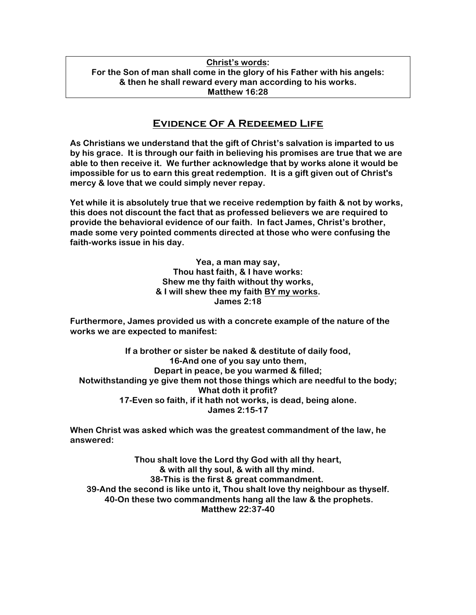## **Christ's words: For the Son of man shall come in the glory of his Father with his angels: & then he shall reward every man according to his works. Matthew 16:28**

## **Evidence Of A Redeemed Life**

**As Christians we understand that the gift of Christ's salvation is imparted to us by his grace. It is through our faith in believing his promises are true that we are able to then receive it. We further acknowledge that by works alone it would be impossible for us to earn this great redemption. It is a gift given out of Christ's mercy & love that we could simply never repay.**

**Yet while it is absolutely true that we receive redemption by faith & not by works, this does not discount the fact that as professed believers we are required to provide the behavioral evidence of our faith. In fact James, Christ's brother, made some very pointed comments directed at those who were confusing the faith-works issue in his day.**

> **Yea, a man may say, Thou hast faith, & I have works: Shew me thy faith without thy works, & I will shew thee my faith BY my works. James 2:18**

**Furthermore, James provided us with a concrete example of the nature of the works we are expected to manifest:**

**If a brother or sister be naked & destitute of daily food, 16-And one of you say unto them, Depart in peace, be you warmed & filled; Notwithstanding ye give them not those things which are needful to the body; What doth it profit? 17-Even so faith, if it hath not works, is dead, being alone. James 2:15-17**

**When Christ was asked which was the greatest commandment of the law, he answered:**

**Thou shalt love the Lord thy God with all thy heart, & with all thy soul, & with all thy mind. 38-This is the first & great commandment. 39-And the second is like unto it, Thou shalt love thy neighbour as thyself. 40-On these two commandments hang all the law & the prophets. Matthew 22:37-40**